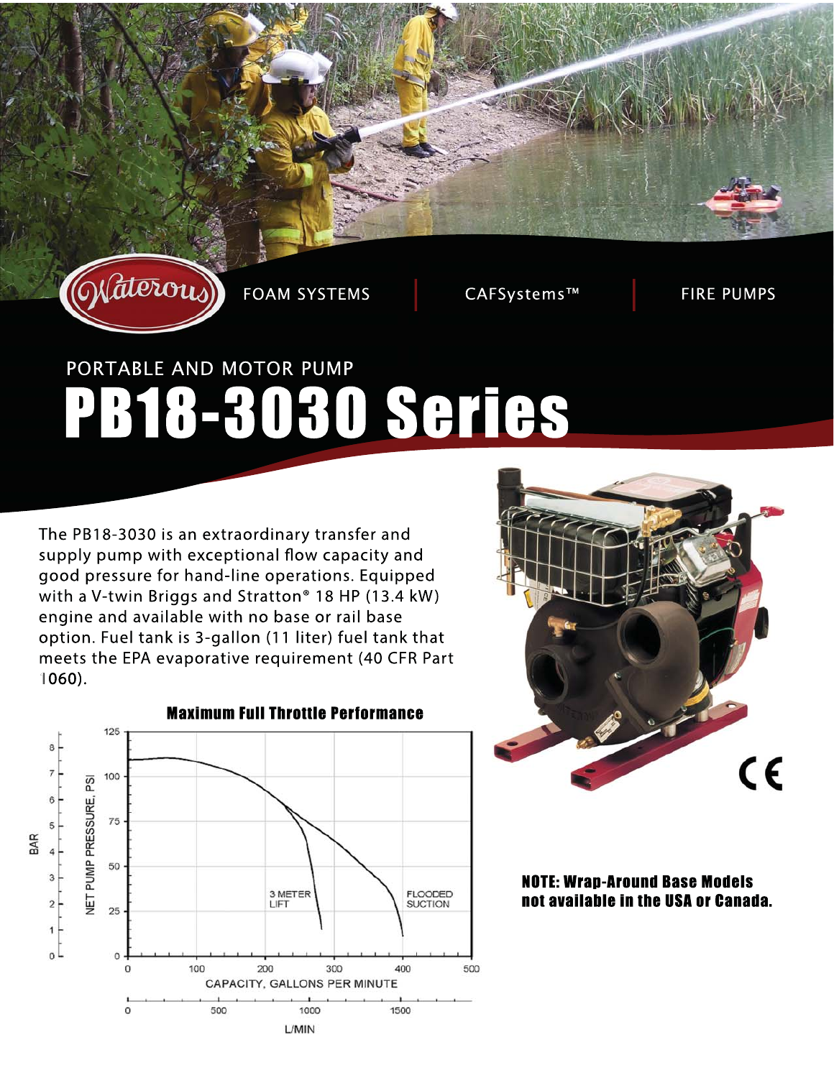

**FOAM SYSTEMS** 

CAFSystems™

**FIRE PUMPS** 

# PORTABLE AND MOTOR PUMP PB18-3030 Series

The PB18-3030 is an extraordinary transfer and supply pump with exceptional flow capacity and good pressure for hand-line operations. Equipped with a V-twin Briggs and Stratton<sup>®</sup> 18 HP (13.4 kW) engine and available with no base or rail base option. Fuel tank is 3-gallon (11 liter) fuel tank that meets the EPA evaporative requirement (40 CFR Part  $1060$ ).





**NOTE: Wrap-Around Base Models** not available in the USA or Canada.